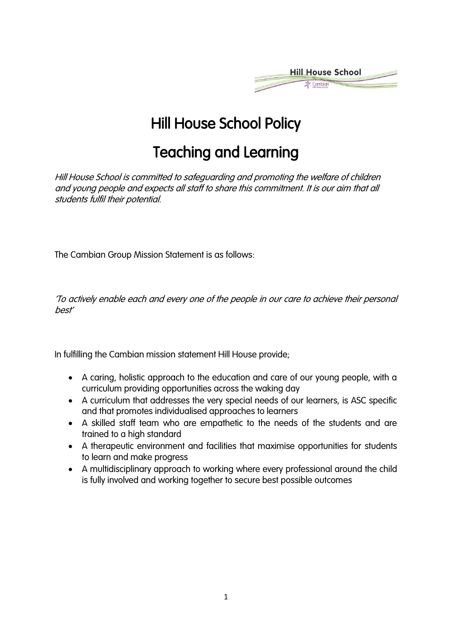

# Hill House School Policy

# Teaching and Learning

Hill House School is committed to safeguarding and promoting the welfare of children and young people and expects all staff to share this commitment. It is our aim that all students fulfil their potential.

The Cambian Group Mission Statement is as follows:

'To actively enable each and every one of the people in our care to achieve their personal best'

In fulfilling the Cambian mission statement Hill House provide;

- A caring, holistic approach to the education and care of our young people, with a curriculum providing opportunities across the waking day
- A curriculum that addresses the very special needs of our learners, is ASC specific and that promotes individualised approaches to learners
- A skilled staff team who are empathetic to the needs of the students and are trained to a high standard
- A therapeutic environment and facilities that maximise opportunities for students to learn and make progress
- A multidisciplinary approach to working where every professional around the child is fully involved and working together to secure best possible outcomes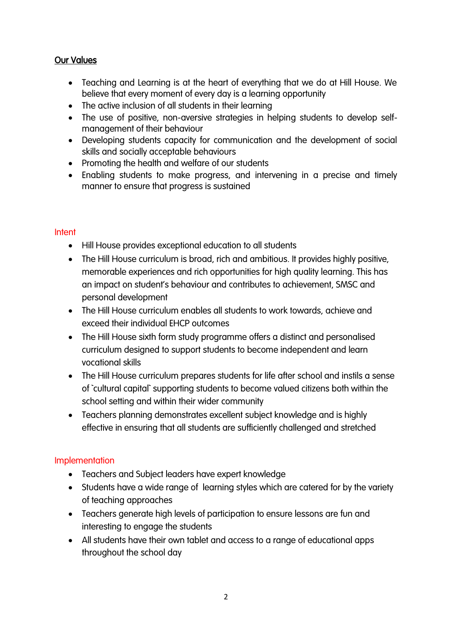#### Our Values

- Teaching and Learning is at the heart of everything that we do at Hill House. We believe that every moment of every day is a learning opportunity
- The active inclusion of all students in their learning
- The use of positive, non-aversive strategies in helping students to develop selfmanagement of their behaviour
- Developing students capacity for communication and the development of social skills and socially acceptable behaviours
- Promoting the health and welfare of our students
- Enabling students to make progress, and intervening in a precise and timely manner to ensure that progress is sustained

#### **Intent**

- Hill House provides exceptional education to all students
- The Hill House curriculum is broad, rich and ambitious. It provides highly positive, memorable experiences and rich opportunities for high quality learning. This has an impact on student's behaviour and contributes to achievement, SMSC and personal development
- The Hill House curriculum enables all students to work towards, achieve and exceed their individual EHCP outcomes
- The Hill House sixth form study programme offers a distinct and personalised curriculum designed to support students to become independent and learn vocational skills
- The Hill House curriculum prepares students for life after school and instils a sense of `cultural capital` supporting students to become valued citizens both within the school setting and within their wider community
- Teachers planning demonstrates excellent subject knowledge and is highly effective in ensuring that all students are sufficiently challenged and stretched

#### **Implementation**

- Teachers and Subject leaders have expert knowledge
- Students have a wide range of learning styles which are catered for by the variety of teaching approaches
- Teachers generate high levels of participation to ensure lessons are fun and interesting to engage the students
- All students have their own tablet and access to a range of educational apps throughout the school day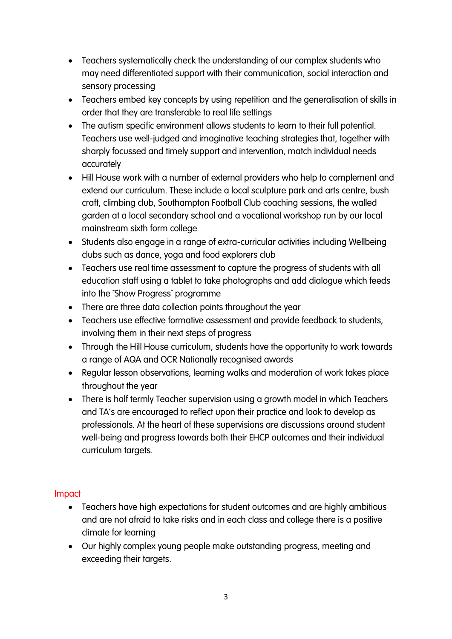- Teachers systematically check the understanding of our complex students who may need differentiated support with their communication, social interaction and sensory processing
- Teachers embed key concepts by using repetition and the generalisation of skills in order that they are transferable to real life settings
- The autism specific environment allows students to learn to their full potential. Teachers use well-judged and imaginative teaching strategies that, together with sharply focussed and timely support and intervention, match individual needs accurately
- Hill House work with a number of external providers who help to complement and extend our curriculum. These include a local sculpture park and arts centre, bush craft, climbing club, Southampton Football Club coaching sessions, the walled garden at a local secondary school and a vocational workshop run by our local mainstream sixth form college
- Students also engage in a range of extra-curricular activities including Wellbeing clubs such as dance, yoga and food explorers club
- Teachers use real time assessment to capture the progress of students with all education staff using a tablet to take photographs and add dialogue which feeds into the `Show Progress` programme
- There are three data collection points throughout the year
- Teachers use effective formative assessment and provide feedback to students, involving them in their next steps of progress
- Through the Hill House curriculum, students have the opportunity to work towards a range of AQA and OCR Nationally recognised awards
- Regular lesson observations, learning walks and moderation of work takes place throughout the year
- There is half termly Teacher supervision using a growth model in which Teachers and TA's are encouraged to reflect upon their practice and look to develop as professionals. At the heart of these supervisions are discussions around student well-being and progress towards both their EHCP outcomes and their individual curriculum targets.

## Impact

- Teachers have high expectations for student outcomes and are highly ambitious and are not afraid to take risks and in each class and college there is a positive climate for learning
- Our highly complex young people make outstanding progress, meeting and exceeding their targets.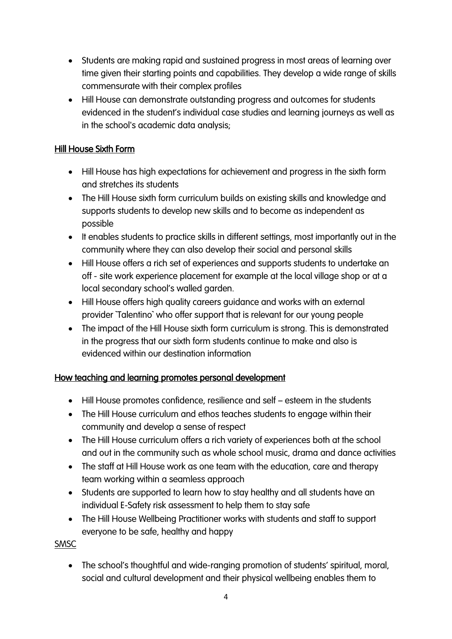- Students are making rapid and sustained progress in most areas of learning over time given their starting points and capabilities. They develop a wide range of skills commensurate with their complex profiles
- Hill House can demonstrate outstanding progress and outcomes for students evidenced in the student's individual case studies and learning journeys as well as in the school's academic data analysis;

## Hill House Sixth Form

- Hill House has high expectations for achievement and progress in the sixth form and stretches its students
- The Hill House sixth form curriculum builds on existing skills and knowledge and supports students to develop new skills and to become as independent as possible
- It enables students to practice skills in different settings, most importantly out in the community where they can also develop their social and personal skills
- Hill House offers a rich set of experiences and supports students to undertake an off - site work experience placement for example at the local village shop or at a local secondary school's walled garden.
- Hill House offers high quality careers guidance and works with an external provider `Talentino` who offer support that is relevant for our young people
- The impact of the Hill House sixth form curriculum is strong. This is demonstrated in the progress that our sixth form students continue to make and also is evidenced within our destination information

#### How teaching and learning promotes personal development

- Hill House promotes confidence, resilience and self esteem in the students
- The Hill House curriculum and ethos teaches students to engage within their community and develop a sense of respect
- The Hill House curriculum offers a rich variety of experiences both at the school and out in the community such as whole school music, drama and dance activities
- The staff at Hill House work as one team with the education, care and therapy team working within a seamless approach
- Students are supported to learn how to stay healthy and all students have an individual E-Safety risk assessment to help them to stay safe
- The Hill House Wellbeing Practitioner works with students and staff to support everyone to be safe, healthy and happy

**SMSC** 

• The school's thoughtful and wide-ranging promotion of students' spiritual, moral, social and cultural development and their physical wellbeing enables them to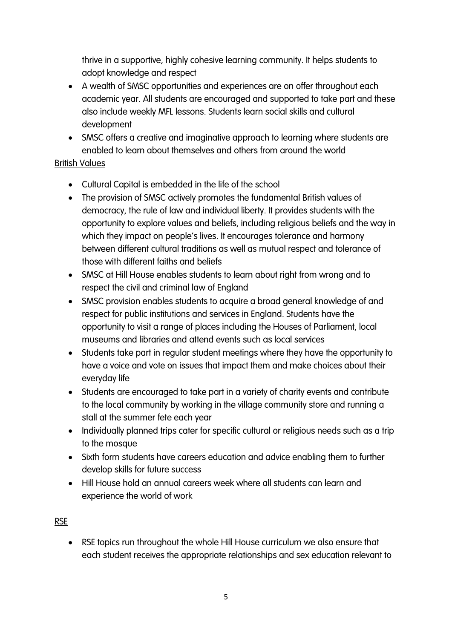thrive in a supportive, highly cohesive learning community. It helps students to adopt knowledge and respect

- A wealth of SMSC opportunities and experiences are on offer throughout each academic year. All students are encouraged and supported to take part and these also include weekly MFL lessons. Students learn social skills and cultural development
- SMSC offers a creative and imaginative approach to learning where students are enabled to learn about themselves and others from around the world

## British Values

- Cultural Capital is embedded in the life of the school
- The provision of SMSC actively promotes the fundamental British values of democracy, the rule of law and individual liberty. It provides students with the opportunity to explore values and beliefs, including religious beliefs and the way in which they impact on people's lives. It encourages tolerance and harmony between different cultural traditions as well as mutual respect and tolerance of those with different faiths and beliefs
- SMSC at Hill House enables students to learn about right from wrong and to respect the civil and criminal law of England
- SMSC provision enables students to acquire a broad general knowledge of and respect for public institutions and services in England. Students have the opportunity to visit a range of places including the Houses of Parliament, local museums and libraries and attend events such as local services
- Students take part in regular student meetings where they have the opportunity to have a voice and vote on issues that impact them and make choices about their everyday life
- Students are encouraged to take part in a variety of charity events and contribute to the local community by working in the village community store and running a stall at the summer fete each year
- Individually planned trips cater for specific cultural or religious needs such as a trip to the mosque
- Sixth form students have careers education and advice enabling them to further develop skills for future success
- Hill House hold an annual careers week where all students can learn and experience the world of work

## RSE

• RSE topics run throughout the whole Hill House curriculum we also ensure that each student receives the appropriate relationships and sex education relevant to